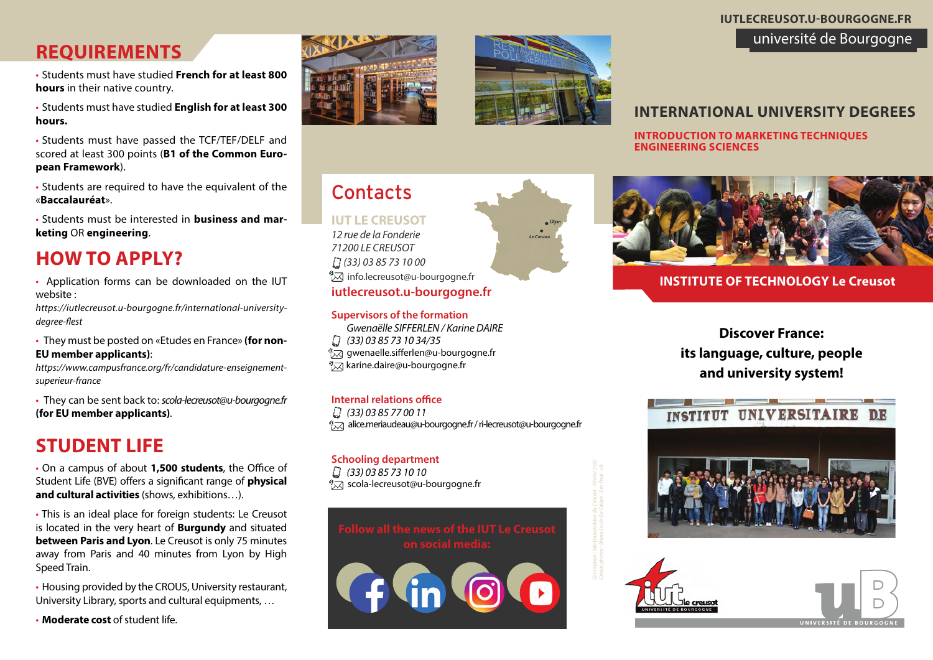## **IUTLECREUSOT.U-BOURGOGNE.FR** université de Bourgogne

## **REQUIREMENTS**

• Students must have studied **French for at least 800 hours** in their native country.

• Students must have studied **English for at least 300 hours.**

- Students must have passed the TCF/TEF/DELF and scored at least 300 points (**B1 of the Common European Framework**).
- Students are required to have the equivalent of the «**Baccalauréat**».
- Students must be interested in **business and marketing** OR **engineering**.

# **HOW TO APPLY?**

• Application forms can be downloaded on the IUT website :

*https://iutlecreusot.u-bourgogne.fr/international-universitydegree-flest*

• They must be posted on «Etudes en France» **(for non-EU member applicants)**:

*https://www.campusfrance.org/fr/candidature-enseignementsuperieur-france*

• They can be sent back to: *scola-lecreusot@u-bourgogne.fr*  **(for EU member applicants)***.*

## **STUDENT LIFE**

• On a campus of about **1,500 students**, the Office of Student Life (BVE) offers a significant range of **physical and cultural activities** (shows, exhibitions…).

• This is an ideal place for foreign students: Le Creusot is located in the very heart of **Burgundy** and situated **between Paris and Lyon**. Le Creusot is only 75 minutes away from Paris and 40 minutes from Lyon by High Speed Train.

• Housing provided by the CROUS, University restaurant, University Library, sports and cultural equipments, …

• **Moderate cost** of student life.





*Conception : Site Universitaire du Creusot - Février 2022 Crédits photos : Bruno Le Hir De Fallois - Eric Paul - uB*

## **INTERNATIONAL UNIVERSITY DEGREES**

**INTRODUCTION TO MARKETING TECHNIQUES ENGINEERING SCIENCES**

# **Contacts**

#### **IUT LE CREUSOT**

*12 rue de la Fonderie 71200 LE CREUSOT (33) 03 85 73 10 00* ®<sub>2</sub>√ info.lecreusot@u-bourgogne.fr **iutlecreusot.u-bourgogne.fr** 

#### **Supervisors of the formation**

 *Gwenaëlle SIFFERLEN / Karine DAIRE (33) 03 85 73 10 34/35*  $\sqrt[\infty]{2}$  qwenaelle.sifferlen@u-bourgogne.fr ®<sub>x</sub><sub>x</sub> karine.daire@u-bourgogne.fr

#### **Internal relations office**

 *(33) 03 85 77 00 11* ®<sub>X7</sub> alice.meriaudeau@u-bourgogne.fr / ri-lecreusot@u-bourgogne.fr

**Schooling department**  *(33) 03 85 73 10 10* ®<sub> $\overline{\times}$ </sub> scola-lecreusot@u-bourgogne.fr





#### **INSTITUTE OF TECHNOLOGY Le Creusot**

**Discover France: its language, culture, people and university system!**